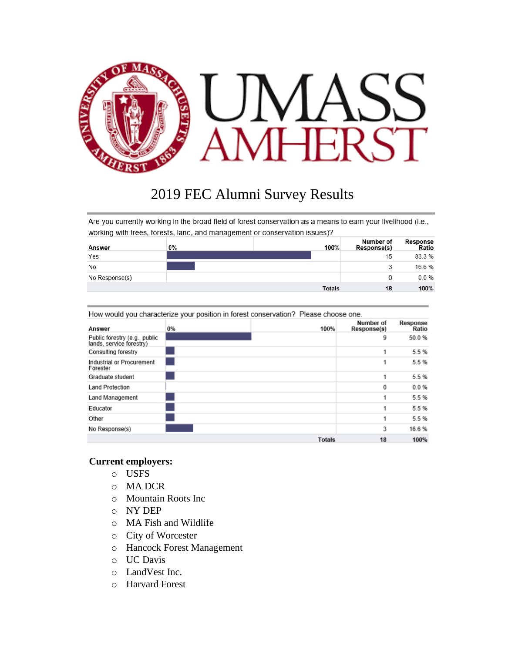

# 2019 FEC Alumni Survey Results

Are you currently working in the broad field of forest conservation as a means to earn your livelihood (i.e., working with trees, forests, land, and management or conservation issues)?

| Answer         | 0% | 100%          | Number of<br>Response(s) | Response<br>Ratio |
|----------------|----|---------------|--------------------------|-------------------|
| Yes            |    |               | 15                       | 83.3%             |
| No             |    |               | 3                        | 16.6%             |
| No Response(s) |    |               | 0                        | 0.0%              |
|                |    | <b>Totals</b> | 18                       | 100%              |

| How would you characterize your position in forest conservation? Please choose one. |  |  |  |
|-------------------------------------------------------------------------------------|--|--|--|
|-------------------------------------------------------------------------------------|--|--|--|

| Answer                                                    | $0\%$ | 100%          | Number of<br>Response(s) | Response<br>Ratio |
|-----------------------------------------------------------|-------|---------------|--------------------------|-------------------|
| Public forestry (e.g., public<br>lands, service forestry) |       |               | 9                        | 50.0%             |
| Consulting forestry                                       |       |               | 1                        | 5.5%              |
| Industrial or Procurement<br>Forester                     |       |               | 1                        | 5.5%              |
| Graduate student                                          |       |               | 1                        | 5.5%              |
| <b>Land Protection</b>                                    |       |               | 0                        | 0.0%              |
| Land Management                                           |       |               | 1                        | 5.5%              |
| Educator                                                  |       |               | 1                        | 5.5%              |
| Other                                                     |       |               | 1                        | 5.5%              |
| No Response(s)                                            |       |               | 3                        | 16.6%             |
|                                                           |       | <b>Totals</b> | 18                       | 100%              |

#### **Current employers:**

- o USFS
- o MA DCR
- o Mountain Roots Inc
- o NY DEP
- o MA Fish and Wildlife
- o City of Worcester
- o Hancock Forest Management
- o UC Davis
- o LandVest Inc.
- o Harvard Forest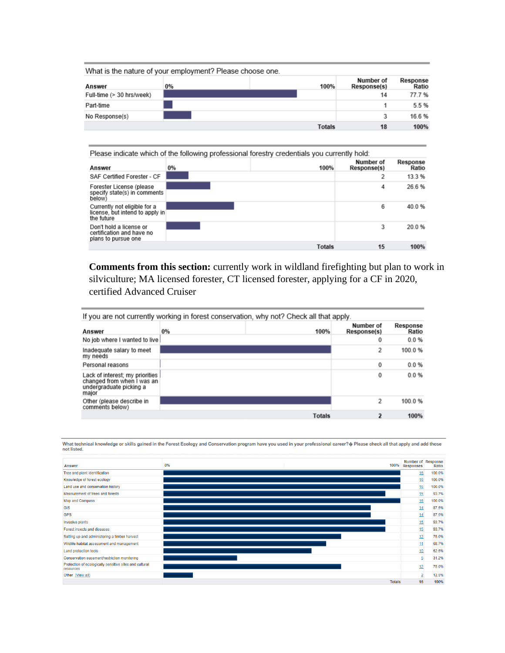|                           | What is the nature of your employment? Please choose one. |               |                          |                   |
|---------------------------|-----------------------------------------------------------|---------------|--------------------------|-------------------|
| Answer                    | 0%                                                        | 100%          | Number of<br>Response(s) | Response<br>Ratio |
| Full-time (> 30 hrs/week) |                                                           |               | 14                       | 77.7%             |
| Part-time                 |                                                           |               |                          | 5.5%              |
| No Response(s)            |                                                           |               |                          | 16.6%             |
|                           |                                                           | <b>Totals</b> | 18                       | 100%              |

Please indicate which of the following professional forestry credentials you currently hold:

| Answer                                                                        | $0\%$ | 100%          | Number of<br>Response(s) | Response<br>Ratio |
|-------------------------------------------------------------------------------|-------|---------------|--------------------------|-------------------|
| SAF Certified Forester - CF                                                   |       |               |                          | 13.3%             |
| Forester License (please<br>specify state(s) in comments<br>below)            |       |               | 4                        | 26.6%             |
| Currently not eligible for a<br>license, but intend to apply in<br>the future |       |               | 6                        | 40.0%             |
| Don't hold a license or<br>certification and have no<br>plans to pursue one   |       |               | 3                        | 20.0%             |
|                                                                               |       | <b>Totals</b> | 15                       | 100%              |

**Comments from this section:** currently work in wildland firefighting but plan to work in silviculture; MA licensed forester, CT licensed forester, applying for a CF in 2020, certified Advanced Cruiser

|                                                                                                   |    | If you are not currently working in forest conservation, why not? Check all that apply. |                          |                   |
|---------------------------------------------------------------------------------------------------|----|-----------------------------------------------------------------------------------------|--------------------------|-------------------|
| Answer                                                                                            | 0% | 100%                                                                                    | Number of<br>Response(s) | Response<br>Ratio |
| No job where I wanted to live                                                                     |    |                                                                                         | 0                        | 0.0%              |
| Inadequate salary to meet<br>my needs                                                             |    |                                                                                         | 2                        | 100.0%            |
| Personal reasons                                                                                  |    |                                                                                         | 0                        | 0.0%              |
| Lack of interest; my priorities<br>changed from when I was an<br>undergraduate picking a<br>major |    |                                                                                         | 0                        | 0.0%              |
| Other (please describe in<br>comments below)                                                      |    |                                                                                         | $\overline{\mathbf{z}}$  | 100.0%            |
|                                                                                                   |    | <b>Totals</b>                                                                           | 2                        | 100%              |

What technical knowledge or skills gained in the Forest Ecology and Conservation program have you used in your professional career? @ Please check all that apply and add those not listed.

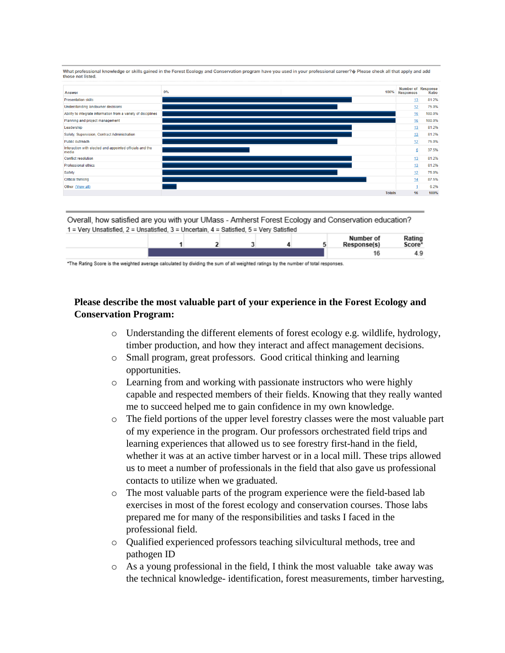What professional knowledge or skills gained in the Forest Ecology and Conservation program have you used in your professional career? $\hat{\phi}$  Please check all that apply and add those not listed.



Overall, how satisfied are you with your UMass - Amherst Forest Ecology and Conservation education? 1 = Very Unsatisfied, 2 = Unsatisfied, 3 = Uncertain, 4 = Satisfied, 5 = Very Satisfied

|  |  |  | Number of<br>Response(s) | Rating<br>Score* |
|--|--|--|--------------------------|------------------|
|  |  |  |                          | 4.9              |

\*The Rating Score is the weighted average calculated by dividing the sum of all weighted ratings by the number of total responses.

## **Please describe the most valuable part of your experience in the Forest Ecology and Conservation Program:**

- $\circ$  Understanding the different elements of forest ecology e.g. wildlife, hydrology, timber production, and how they interact and affect management decisions.
- o Small program, great professors. Good critical thinking and learning opportunities.
- o Learning from and working with passionate instructors who were highly capable and respected members of their fields. Knowing that they really wanted me to succeed helped me to gain confidence in my own knowledge.
- o The field portions of the upper level forestry classes were the most valuable part of my experience in the program. Our professors orchestrated field trips and learning experiences that allowed us to see forestry first-hand in the field, whether it was at an active timber harvest or in a local mill. These trips allowed us to meet a number of professionals in the field that also gave us professional contacts to utilize when we graduated.
- o The most valuable parts of the program experience were the field-based lab exercises in most of the forest ecology and conservation courses. Those labs prepared me for many of the responsibilities and tasks I faced in the professional field.
- o Qualified experienced professors teaching silvicultural methods, tree and pathogen ID
- o As a young professional in the field, I think the most valuable take away was the technical knowledge- identification, forest measurements, timber harvesting,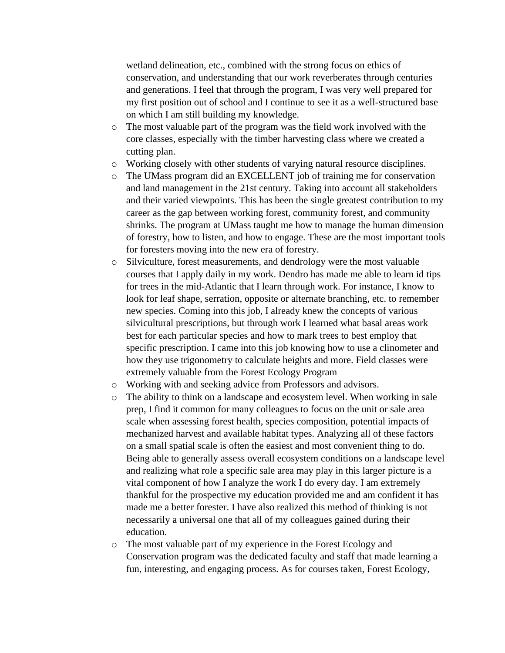wetland delineation, etc., combined with the strong focus on ethics of conservation, and understanding that our work reverberates through centuries and generations. I feel that through the program, I was very well prepared for my first position out of school and I continue to see it as a well-structured base on which I am still building my knowledge.

- o The most valuable part of the program was the field work involved with the core classes, especially with the timber harvesting class where we created a cutting plan.
- o Working closely with other students of varying natural resource disciplines.
- o The UMass program did an EXCELLENT job of training me for conservation and land management in the 21st century. Taking into account all stakeholders and their varied viewpoints. This has been the single greatest contribution to my career as the gap between working forest, community forest, and community shrinks. The program at UMass taught me how to manage the human dimension of forestry, how to listen, and how to engage. These are the most important tools for foresters moving into the new era of forestry.
- o Silviculture, forest measurements, and dendrology were the most valuable courses that I apply daily in my work. Dendro has made me able to learn id tips for trees in the mid-Atlantic that I learn through work. For instance, I know to look for leaf shape, serration, opposite or alternate branching, etc. to remember new species. Coming into this job, I already knew the concepts of various silvicultural prescriptions, but through work I learned what basal areas work best for each particular species and how to mark trees to best employ that specific prescription. I came into this job knowing how to use a clinometer and how they use trigonometry to calculate heights and more. Field classes were extremely valuable from the Forest Ecology Program
- o Working with and seeking advice from Professors and advisors.
- $\circ$  The ability to think on a landscape and ecosystem level. When working in sale prep, I find it common for many colleagues to focus on the unit or sale area scale when assessing forest health, species composition, potential impacts of mechanized harvest and available habitat types. Analyzing all of these factors on a small spatial scale is often the easiest and most convenient thing to do. Being able to generally assess overall ecosystem conditions on a landscape level and realizing what role a specific sale area may play in this larger picture is a vital component of how I analyze the work I do every day. I am extremely thankful for the prospective my education provided me and am confident it has made me a better forester. I have also realized this method of thinking is not necessarily a universal one that all of my colleagues gained during their education.
- o The most valuable part of my experience in the Forest Ecology and Conservation program was the dedicated faculty and staff that made learning a fun, interesting, and engaging process. As for courses taken, Forest Ecology,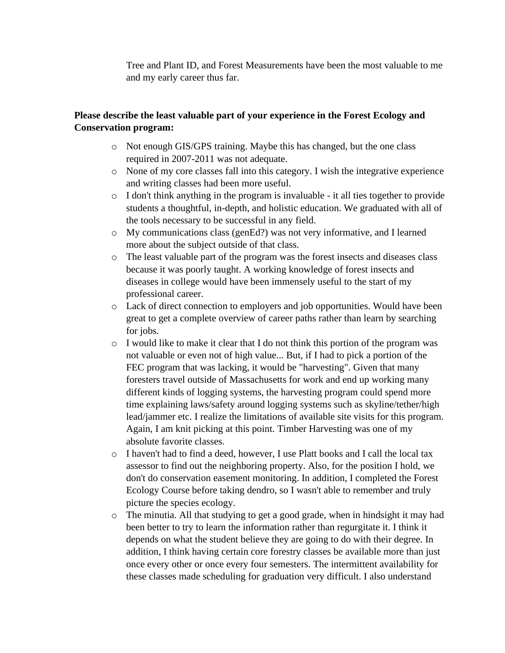Tree and Plant ID, and Forest Measurements have been the most valuable to me and my early career thus far.

### **Please describe the least valuable part of your experience in the Forest Ecology and Conservation program:**

- o Not enough GIS/GPS training. Maybe this has changed, but the one class required in 2007-2011 was not adequate.
- o None of my core classes fall into this category. I wish the integrative experience and writing classes had been more useful.
- o I don't think anything in the program is invaluable it all ties together to provide students a thoughtful, in-depth, and holistic education. We graduated with all of the tools necessary to be successful in any field.
- $\circ$  My communications class (genEd?) was not very informative, and I learned more about the subject outside of that class.
- o The least valuable part of the program was the forest insects and diseases class because it was poorly taught. A working knowledge of forest insects and diseases in college would have been immensely useful to the start of my professional career.
- o Lack of direct connection to employers and job opportunities. Would have been great to get a complete overview of career paths rather than learn by searching for jobs.
- o I would like to make it clear that I do not think this portion of the program was not valuable or even not of high value... But, if I had to pick a portion of the FEC program that was lacking, it would be "harvesting". Given that many foresters travel outside of Massachusetts for work and end up working many different kinds of logging systems, the harvesting program could spend more time explaining laws/safety around logging systems such as skyline/tether/high lead/jammer etc. I realize the limitations of available site visits for this program. Again, I am knit picking at this point. Timber Harvesting was one of my absolute favorite classes.
- o I haven't had to find a deed, however, I use Platt books and I call the local tax assessor to find out the neighboring property. Also, for the position I hold, we don't do conservation easement monitoring. In addition, I completed the Forest Ecology Course before taking dendro, so I wasn't able to remember and truly picture the species ecology.
- o The minutia. All that studying to get a good grade, when in hindsight it may had been better to try to learn the information rather than regurgitate it. I think it depends on what the student believe they are going to do with their degree. In addition, I think having certain core forestry classes be available more than just once every other or once every four semesters. The intermittent availability for these classes made scheduling for graduation very difficult. I also understand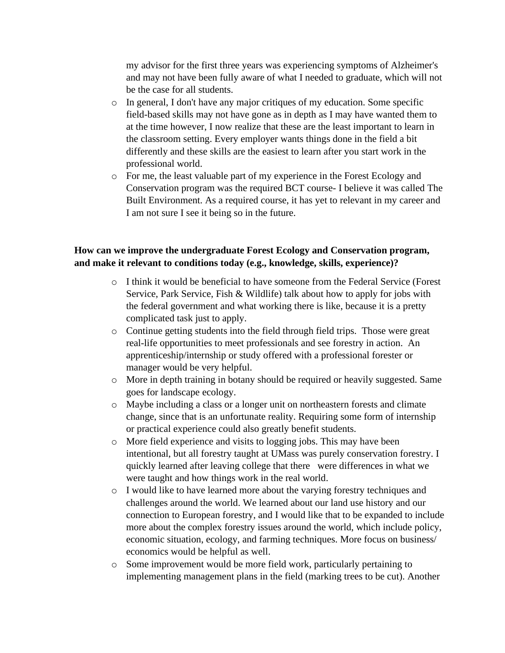my advisor for the first three years was experiencing symptoms of Alzheimer's and may not have been fully aware of what I needed to graduate, which will not be the case for all students.

- o In general, I don't have any major critiques of my education. Some specific field-based skills may not have gone as in depth as I may have wanted them to at the time however, I now realize that these are the least important to learn in the classroom setting. Every employer wants things done in the field a bit differently and these skills are the easiest to learn after you start work in the professional world.
- o For me, the least valuable part of my experience in the Forest Ecology and Conservation program was the required BCT course- I believe it was called The Built Environment. As a required course, it has yet to relevant in my career and I am not sure I see it being so in the future.

#### **How can we improve the undergraduate Forest Ecology and Conservation program, and make it relevant to conditions today (e.g., knowledge, skills, experience)?**

- o I think it would be beneficial to have someone from the Federal Service (Forest Service, Park Service, Fish & Wildlife) talk about how to apply for jobs with the federal government and what working there is like, because it is a pretty complicated task just to apply.
- o Continue getting students into the field through field trips. Those were great real-life opportunities to meet professionals and see forestry in action. An apprenticeship/internship or study offered with a professional forester or manager would be very helpful.
- o More in depth training in botany should be required or heavily suggested. Same goes for landscape ecology.
- o Maybe including a class or a longer unit on northeastern forests and climate change, since that is an unfortunate reality. Requiring some form of internship or practical experience could also greatly benefit students.
- o More field experience and visits to logging jobs. This may have been intentional, but all forestry taught at UMass was purely conservation forestry. I quickly learned after leaving college that there were differences in what we were taught and how things work in the real world.
- o I would like to have learned more about the varying forestry techniques and challenges around the world. We learned about our land use history and our connection to European forestry, and I would like that to be expanded to include more about the complex forestry issues around the world, which include policy, economic situation, ecology, and farming techniques. More focus on business/ economics would be helpful as well.
- o Some improvement would be more field work, particularly pertaining to implementing management plans in the field (marking trees to be cut). Another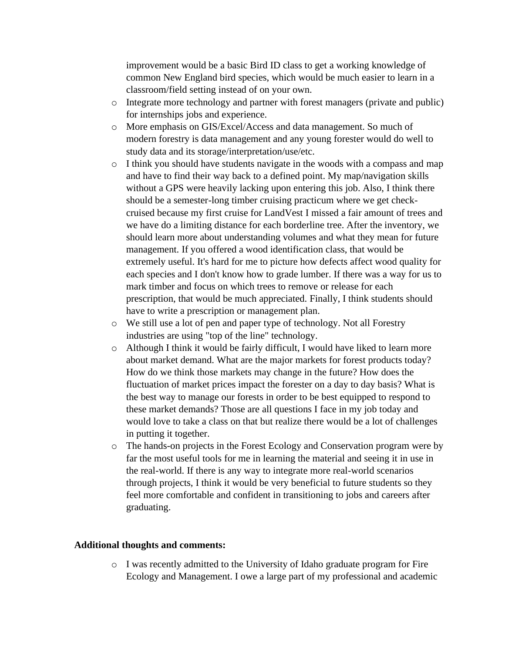improvement would be a basic Bird ID class to get a working knowledge of common New England bird species, which would be much easier to learn in a classroom/field setting instead of on your own.

- o Integrate more technology and partner with forest managers (private and public) for internships jobs and experience.
- o More emphasis on GIS/Excel/Access and data management. So much of modern forestry is data management and any young forester would do well to study data and its storage/interpretation/use/etc.
- o I think you should have students navigate in the woods with a compass and map and have to find their way back to a defined point. My map/navigation skills without a GPS were heavily lacking upon entering this job. Also, I think there should be a semester-long timber cruising practicum where we get checkcruised because my first cruise for LandVest I missed a fair amount of trees and we have do a limiting distance for each borderline tree. After the inventory, we should learn more about understanding volumes and what they mean for future management. If you offered a wood identification class, that would be extremely useful. It's hard for me to picture how defects affect wood quality for each species and I don't know how to grade lumber. If there was a way for us to mark timber and focus on which trees to remove or release for each prescription, that would be much appreciated. Finally, I think students should have to write a prescription or management plan.
- o We still use a lot of pen and paper type of technology. Not all Forestry industries are using "top of the line" technology.
- o Although I think it would be fairly difficult, I would have liked to learn more about market demand. What are the major markets for forest products today? How do we think those markets may change in the future? How does the fluctuation of market prices impact the forester on a day to day basis? What is the best way to manage our forests in order to be best equipped to respond to these market demands? Those are all questions I face in my job today and would love to take a class on that but realize there would be a lot of challenges in putting it together.
- o The hands-on projects in the Forest Ecology and Conservation program were by far the most useful tools for me in learning the material and seeing it in use in the real-world. If there is any way to integrate more real-world scenarios through projects, I think it would be very beneficial to future students so they feel more comfortable and confident in transitioning to jobs and careers after graduating.

#### **Additional thoughts and comments:**

o I was recently admitted to the University of Idaho graduate program for Fire Ecology and Management. I owe a large part of my professional and academic